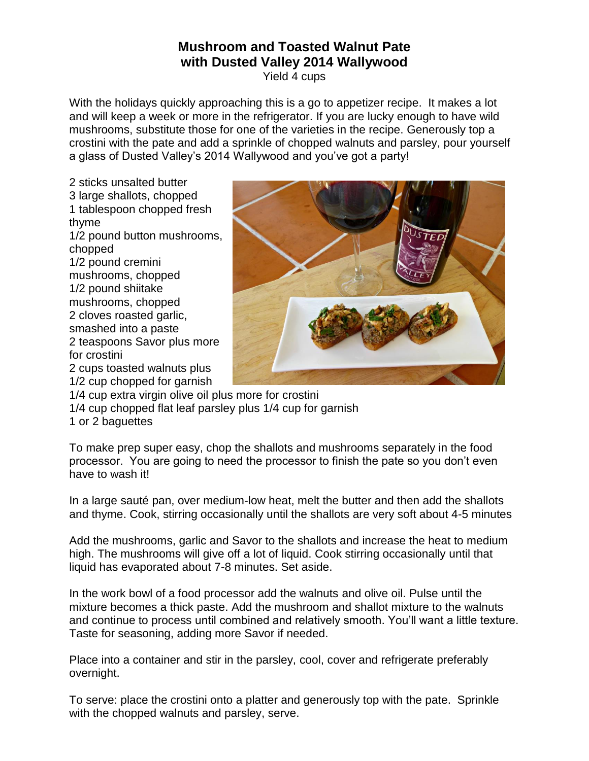## **Mushroom and Toasted Walnut Pate with Dusted Valley 2014 Wallywood**

Yield 4 cups

With the holidays quickly approaching this is a go to appetizer recipe. It makes a lot and will keep a week or more in the refrigerator. If you are lucky enough to have wild mushrooms, substitute those for one of the varieties in the recipe. Generously top a crostini with the pate and add a sprinkle of chopped walnuts and parsley, pour yourself a glass of Dusted Valley's 2014 Wallywood and you've got a party!

2 sticks unsalted butter 3 large shallots, chopped 1 tablespoon chopped fresh thyme 1/2 pound button mushrooms, chopped 1/2 pound cremini mushrooms, chopped 1/2 pound shiitake mushrooms, chopped 2 cloves roasted garlic, smashed into a paste 2 teaspoons Savor plus more for crostini 2 cups toasted walnuts plus 1/2 cup chopped for garnish



1/4 cup extra virgin olive oil plus more for crostini

1/4 cup chopped flat leaf parsley plus 1/4 cup for garnish

1 or 2 baguettes

To make prep super easy, chop the shallots and mushrooms separately in the food processor. You are going to need the processor to finish the pate so you don't even have to wash it!

In a large sauté pan, over medium-low heat, melt the butter and then add the shallots and thyme. Cook, stirring occasionally until the shallots are very soft about 4-5 minutes

Add the mushrooms, garlic and Savor to the shallots and increase the heat to medium high. The mushrooms will give off a lot of liquid. Cook stirring occasionally until that liquid has evaporated about 7-8 minutes. Set aside.

In the work bowl of a food processor add the walnuts and olive oil. Pulse until the mixture becomes a thick paste. Add the mushroom and shallot mixture to the walnuts and continue to process until combined and relatively smooth. You'll want a little texture. Taste for seasoning, adding more Savor if needed.

Place into a container and stir in the parsley, cool, cover and refrigerate preferably overnight.

To serve: place the crostini onto a platter and generously top with the pate. Sprinkle with the chopped walnuts and parsley, serve.